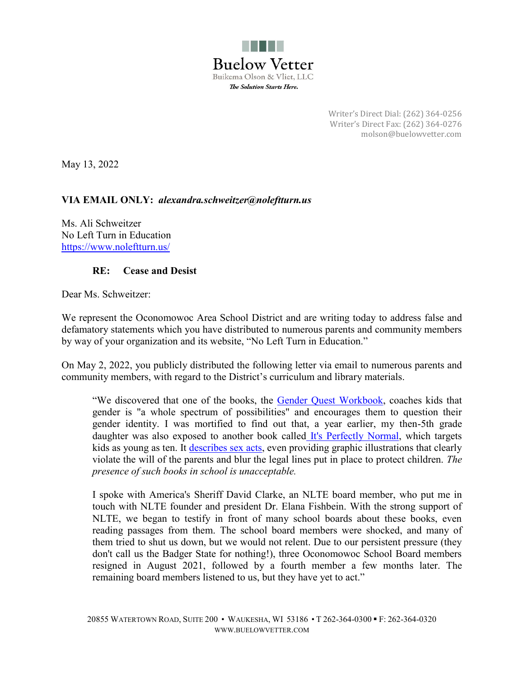

Writer's Direct Dial: (262) 364-0256 Writer's Direct Fax: (262) 364-0276 molson@buelowvetter.com

May 13, 2022

## **VIA EMAIL ONLY:** *alexandra.schweitzer@noleftturn.us*

Ms. Ali Schweitzer No Left Turn in Education https://www.noleftturn.us/

## **RE: Cease and Desist**

Dear Ms. Schweitzer:

We represent the Oconomowoc Area School District and are writing today to address false and defamatory statements which you have distributed to numerous parents and community members by way of your organization and its website, "No Left Turn in Education."

On May 2, 2022, you publicly distributed the following letter via email to numerous parents and community members, with regard to the District's curriculum and library materials.

"We discovered that one of the books, the Gender Quest Workbook, coaches kids that gender is "a whole spectrum of possibilities" and encourages them to question their gender identity. I was mortified to find out that, a year earlier, my then-5th grade daughter was also exposed to another book called It's Perfectly Normal, which targets kids as young as ten. It describes sex acts, even providing graphic illustrations that clearly violate the will of the parents and blur the legal lines put in place to protect children. *The presence of such books in school is unacceptable.* 

I spoke with America's Sheriff David Clarke, an NLTE board member, who put me in touch with NLTE founder and president Dr. Elana Fishbein. With the strong support of NLTE, we began to testify in front of many school boards about these books, even reading passages from them. The school board members were shocked, and many of them tried to shut us down, but we would not relent. Due to our persistent pressure (they don't call us the Badger State for nothing!), three Oconomowoc School Board members resigned in August 2021, followed by a fourth member a few months later. The remaining board members listened to us, but they have yet to act."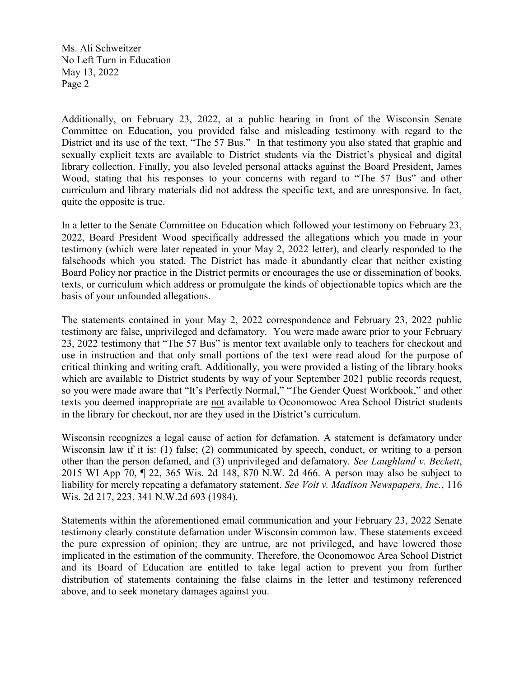Ms. Ali Schweitzer No Left Turn in Education May 13, 2022 Page 2

Additionally, on February 23, 2022, at a public hearing in front of the Wisconsin Senate Committee on Education, you provided false and misleading testimony with regard to the District and its use of the text, "The 57 Bus." In that testimony you also stated that graphic and sexually explicit texts are available to District students via the District's physical and digital library collection. Finally, you also leveled personal attacks against the Board President, James Wood, stating that his responses to your concerns with regard to "The 57 Bus" and other curriculum and library materials did not address the specific text, and are unresponsive. In fact, quite the opposite is true.

In a letter to the Senate Committee on Education which followed your testimony on February 23, 2022, Board President Wood specifically addressed the allegations which you made in your testimony (which were later repeated in your May 2, 2022 letter), and clearly responded to the falsehoods which you stated. The District has made it abundantly clear that neither existing Board Policy nor practice in the District permits or encourages the use or dissemination of books, texts, or curriculum which address or promulgate the kinds of objectionable topics which are the basis of your unfounded allegations.

The statements contained in your May 2, 2022 correspondence and February 23, 2022 public testimony are false, unprivileged and defamatory. You were made aware prior to your February 23, 2022 testimony that "The 57 Bus" is mentor text available only to teachers for checkout and use in instruction and that only small portions of the text were read aloud for the purpose of critical thinking and writing craft. Additionally, you were provided a listing of the library books which are available to District students by way of your September 2021 public records request, so you were made aware that "It's Perfectly Normal," "The Gender Quest Workbook," and other texts you deemed inappropriate are not available to Oconomowoc Area School District students in the library for checkout, nor are they used in the District's curriculum.

Wisconsin recognizes a legal cause of action for defamation. A statement is defamatory under Wisconsin law if it is: (1) false; (2) communicated by speech, conduct, or writing to a person other than the person defamed, and (3) unprivileged and defamatory*. See Laughland v. Beckett*, 2015 WI App 70, ¶ 22, 365 Wis. 2d 148, 870 N.W. 2d 466. A person may also be subject to liability for merely repeating a defamatory statement. *See Voit v. Madison Newspapers, Inc.*, 116 Wis. 2d 217, 223, 341 N.W.2d 693 (1984).

Statements within the aforementioned email communication and your February 23, 2022 Senate testimony clearly constitute defamation under Wisconsin common law. These statements exceed the pure expression of opinion; they are untrue, are not privileged, and have lowered those implicated in the estimation of the community. Therefore, the Oconomowoc Area School District and its Board of Education are entitled to take legal action to prevent you from further distribution of statements containing the false claims in the letter and testimony referenced above, and to seek monetary damages against you.